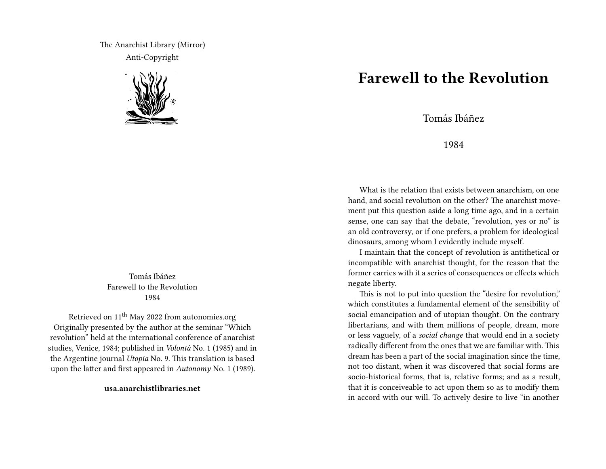The Anarchist Library (Mirror) Anti-Copyright



Tomás Ibáñez Farewell to the Revolution 1984

Retrieved on 11th May 2022 from autonomies.org Originally presented by the author at the seminar "Which revolution" held at the international conference of anarchist studies, Venice, 1984; published in *Volontá* No. 1 (1985) and in the Argentine journal *Utopia* No. 9. This translation is based upon the latter and first appeared in *Autonomy* No. 1 (1989).

**usa.anarchistlibraries.net**

## **Farewell to the Revolution**

Tomás Ibáñez

1984

What is the relation that exists between anarchism, on one hand, and social revolution on the other? The anarchist movement put this question aside a long time ago, and in a certain sense, one can say that the debate, "revolution, yes or no" is an old controversy, or if one prefers, a problem for ideological dinosaurs, among whom I evidently include myself.

I maintain that the concept of revolution is antithetical or incompatible with anarchist thought, for the reason that the former carries with it a series of consequences or effects which negate liberty.

This is not to put into question the "desire for revolution," which constitutes a fundamental element of the sensibility of social emancipation and of utopian thought. On the contrary libertarians, and with them millions of people, dream, more or less vaguely, of a *social change* that would end in a society radically different from the ones that we are familiar with. This dream has been a part of the social imagination since the time, not too distant, when it was discovered that social forms are socio-historical forms, that is, relative forms; and as a result, that it is conceiveable to act upon them so as to modify them in accord with our will. To actively desire to live "in another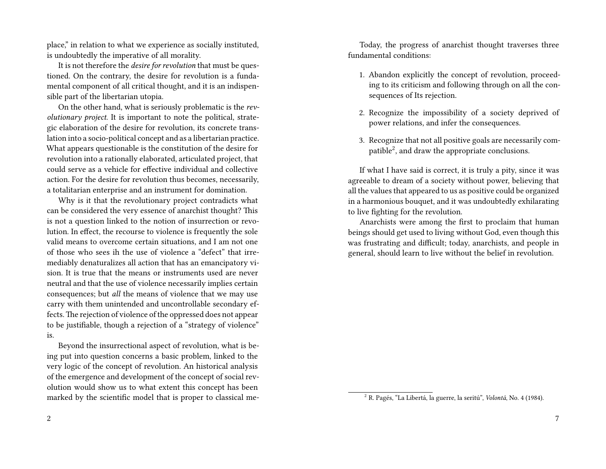place," in relation to what we experience as socially instituted, is undoubtedly the imperative of all morality.

It is not therefore the *desire for revolution* that must be questioned. On the contrary, the desire for revolution is a fundamental component of all critical thought, and it is an indispensible part of the libertarian utopia.

On the other hand, what is seriously problematic is the *revolutionary project*. It is important to note the political, strategic elaboration of the desire for revolution, its concrete translation into a socio-political concept and as a libertarian practice. What appears questionable is the constitution of the desire for revolution into a rationally elaborated, articulated project, that could serve as a vehicle for effective individual and collective action. For the desire for revolution thus becomes, necessarily, a totalitarian enterprise and an instrument for domination.

Why is it that the revolutionary project contradicts what can be considered the very essence of anarchist thought? This is not a question linked to the notion of insurrection or revolution. In effect, the recourse to violence is frequently the sole valid means to overcome certain situations, and I am not one of those who sees ih the use of violence a "defect" that irremediably denaturalizes all action that has an emancipatory vision. It is true that the means or instruments used are never neutral and that the use of violence necessarily implies certain consequences; but *all* the means of violence that we may use carry with them unintended and uncontrollable secondary effects.The rejection of violence of the oppressed does not appear to be justifiable, though a rejection of a "strategy of violence" is.

Beyond the insurrectional aspect of revolution, what is being put into question concerns a basic problem, linked to the very logic of the concept of revolution. An historical analysis of the emergence and development of the concept of social revolution would show us to what extent this concept has been marked by the scientific model that is proper to classical me-

Today, the progress of anarchist thought traverses three fundamental conditions:

- 1. Abandon explicitly the concept of revolution, proceeding to its criticism and following through on all the consequences of Its rejection.
- 2. Recognize the impossibility of a society deprived of power relations, and infer the consequences.
- 3. Recognize that not all positive goals are necessarily compatible<sup>2</sup>, and draw the appropriate conclusions.

If what I have said is correct, it is truly a pity, since it was agreeable to dream of a society without power, believing that all the values that appeared to us as positive could be organized in a harmonious bouquet, and it was undoubtedly exhilarating to live fighting for the revolution.

Anarchists were among the first to proclaim that human beings should get used to living without God, even though this was frustrating and difficult; today, anarchists, and people in general, should learn to live without the belief in revolution.

<sup>2</sup> R. Pagés, "La Libertá, la guerre, la seritú", *Volontá*, No. 4 (1984).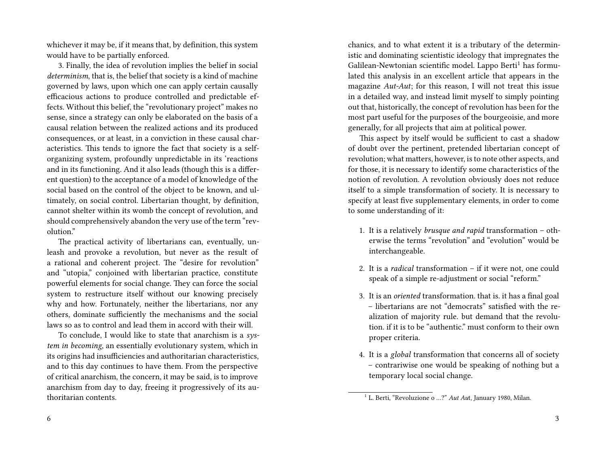whichever it may be, if it means that, by definition, this system would have to be partially enforced.

3. Finally, the idea of revolution implies the belief in social *determinism*, that is, the belief that society is a kind of machine governed by laws, upon which one can apply certain causally efficacious actions to produce controlled and predictable effects. Without this belief, the "revolutionary project" makes no sense, since a strategy can only be elaborated on the basis of a causal relation between the realized actions and its produced consequences, or at least, in a conviction in these causal characteristics. This tends to ignore the fact that society is a selforganizing system, profoundly unpredictable in its 'reactions and in its functioning. And it also leads (though this is a different question) to the acceptance of a model of knowledge of the social based on the control of the object to be known, and ultimately, on social control. Libertarian thought, by definition, cannot shelter within its womb the concept of revolution, and should comprehensively abandon the very use of the term "revolution."

The practical activity of libertarians can, eventually, unleash and provoke a revolution, but never as the result of a rational and coherent project. The "desire for revolution" and "utopia," conjoined with libertarian practice, constitute powerful elements for social change. They can force the social system to restructure itself without our knowing precisely why and how. Fortunately, neither the libertarians, nor any others, dominate sufficiently the mechanisms and the social laws so as to control and lead them in accord with their will.

To conclude, I would like to state that anarchism is a *system in becoming*, an essentially evolutionary system, which in its origins had insufficiencies and authoritarian characteristics, and to this day continues to have them. From the perspective of critical anarchism, the concern, it may be said, is to improve anarchism from day to day, freeing it progressively of its authoritarian contents.

6

chanics, and to what extent it is a tributary of the deterministic and dominating scientistic ideology that impregnates the Galilean-Newtonian scientific model. Lappo Berti<sup>1</sup> has formulated this analysis in an excellent article that appears in the magazine *Aut-Aut*; for this reason, I will not treat this issue in a detailed way, and instead limit myself to simply pointing out that, historically, the concept of revolution has been for the most part useful for the purposes of the bourgeoisie, and more generally, for all projects that aim at political power.

This aspect by itself would be sufficient to cast a shadow of doubt over the pertinent, pretended libertarian concept of revolution; what matters, however, is to note other aspects, and for those, it is necessary to identify some characteristics of the notion of revolution. A revolution obviously does not reduce itself to a simple transformation of society. It is necessary to specify at least five supplementary elements, in order to come to some understanding of it:

- 1. It is a relatively *brusque and rapid* transformation otherwise the terms "revolution" and "evolution" would be interchangeable.
- 2. It is a *radical* transformation if it were not, one could speak of a simple re-adjustment or social "reform."
- 3. It is an *oriented* transformation. that is. it has a final goal – libertarians are not "democrats" satisfied with the realization of majority rule. but demand that the revolution. if it is to be "authentic." must conform to their own proper criteria.
- 4. It is a *global* transformation that concerns all of society – contrariwise one would be speaking of nothing but a temporary local social change.

<sup>&</sup>lt;sup>1</sup> L. Berti, "Revoluzione o ...?" *Aut Au*t, January 1980, Milan.